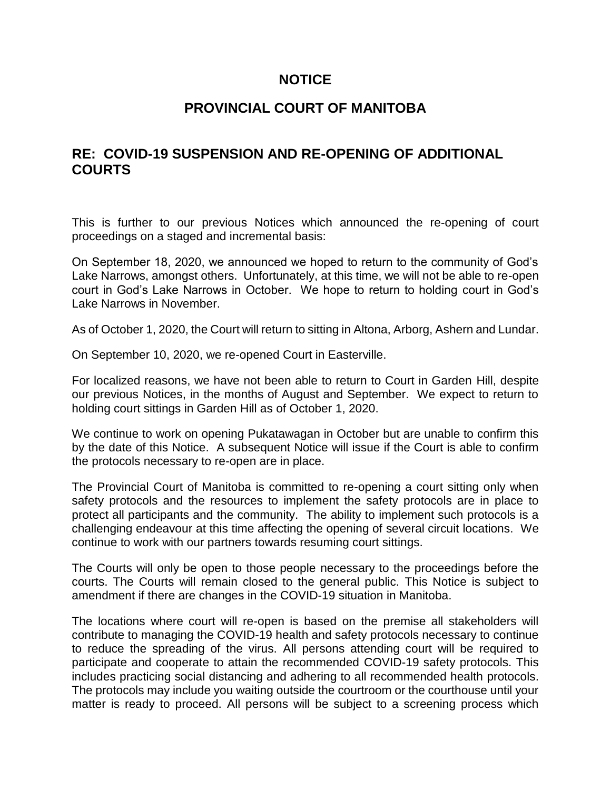# **NOTICE**

# **PROVINCIAL COURT OF MANITOBA**

# **RE: COVID-19 SUSPENSION AND RE-OPENING OF ADDITIONAL COURTS**

This is further to our previous Notices which announced the re-opening of court proceedings on a staged and incremental basis:

On September 18, 2020, we announced we hoped to return to the community of God's Lake Narrows, amongst others. Unfortunately, at this time, we will not be able to re-open court in God's Lake Narrows in October. We hope to return to holding court in God's Lake Narrows in November.

As of October 1, 2020, the Court will return to sitting in Altona, Arborg, Ashern and Lundar.

On September 10, 2020, we re-opened Court in Easterville.

For localized reasons, we have not been able to return to Court in Garden Hill, despite our previous Notices, in the months of August and September. We expect to return to holding court sittings in Garden Hill as of October 1, 2020.

We continue to work on opening Pukatawagan in October but are unable to confirm this by the date of this Notice. A subsequent Notice will issue if the Court is able to confirm the protocols necessary to re-open are in place.

The Provincial Court of Manitoba is committed to re-opening a court sitting only when safety protocols and the resources to implement the safety protocols are in place to protect all participants and the community. The ability to implement such protocols is a challenging endeavour at this time affecting the opening of several circuit locations. We continue to work with our partners towards resuming court sittings.

The Courts will only be open to those people necessary to the proceedings before the courts. The Courts will remain closed to the general public. This Notice is subject to amendment if there are changes in the COVID-19 situation in Manitoba.

The locations where court will re-open is based on the premise all stakeholders will contribute to managing the COVID-19 health and safety protocols necessary to continue to reduce the spreading of the virus. All persons attending court will be required to participate and cooperate to attain the recommended COVID-19 safety protocols. This includes practicing social distancing and adhering to all recommended health protocols. The protocols may include you waiting outside the courtroom or the courthouse until your matter is ready to proceed. All persons will be subject to a screening process which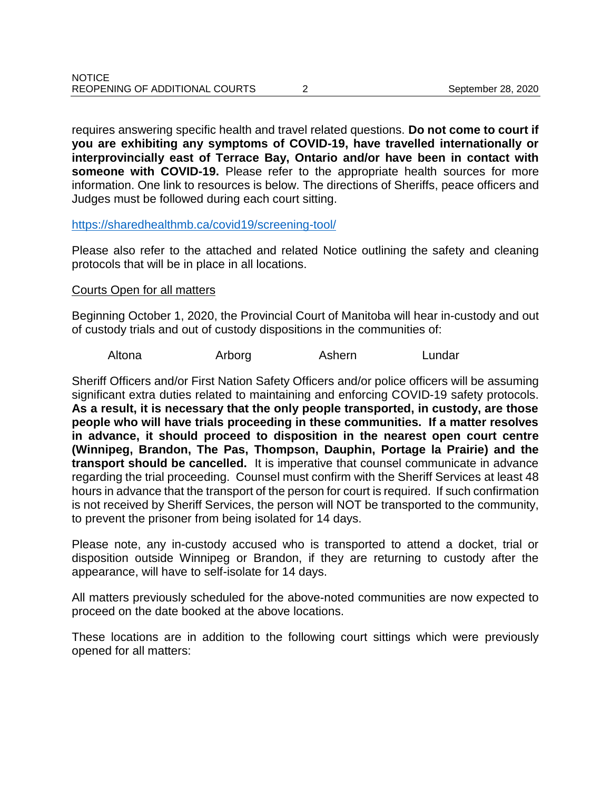requires answering specific health and travel related questions. **Do not come to court if you are exhibiting any symptoms of COVID-19, have travelled internationally or interprovincially east of Terrace Bay, Ontario and/or have been in contact with someone with COVID-19.** Please refer to the appropriate health sources for more information. One link to resources is below. The directions of Sheriffs, peace officers and Judges must be followed during each court sitting.

### <https://sharedhealthmb.ca/covid19/screening-tool/>

Please also refer to the attached and related Notice outlining the safety and cleaning protocols that will be in place in all locations.

### Courts Open for all matters

Beginning October 1, 2020, the Provincial Court of Manitoba will hear in-custody and out of custody trials and out of custody dispositions in the communities of:

Altona Arborg Ashern Lundar

Sheriff Officers and/or First Nation Safety Officers and/or police officers will be assuming significant extra duties related to maintaining and enforcing COVID-19 safety protocols. **As a result, it is necessary that the only people transported, in custody, are those people who will have trials proceeding in these communities. If a matter resolves in advance, it should proceed to disposition in the nearest open court centre (Winnipeg, Brandon, The Pas, Thompson, Dauphin, Portage la Prairie) and the transport should be cancelled.** It is imperative that counsel communicate in advance regarding the trial proceeding. Counsel must confirm with the Sheriff Services at least 48 hours in advance that the transport of the person for court is required. If such confirmation is not received by Sheriff Services, the person will NOT be transported to the community, to prevent the prisoner from being isolated for 14 days.

Please note, any in-custody accused who is transported to attend a docket, trial or disposition outside Winnipeg or Brandon, if they are returning to custody after the appearance, will have to self-isolate for 14 days.

All matters previously scheduled for the above-noted communities are now expected to proceed on the date booked at the above locations.

These locations are in addition to the following court sittings which were previously opened for all matters: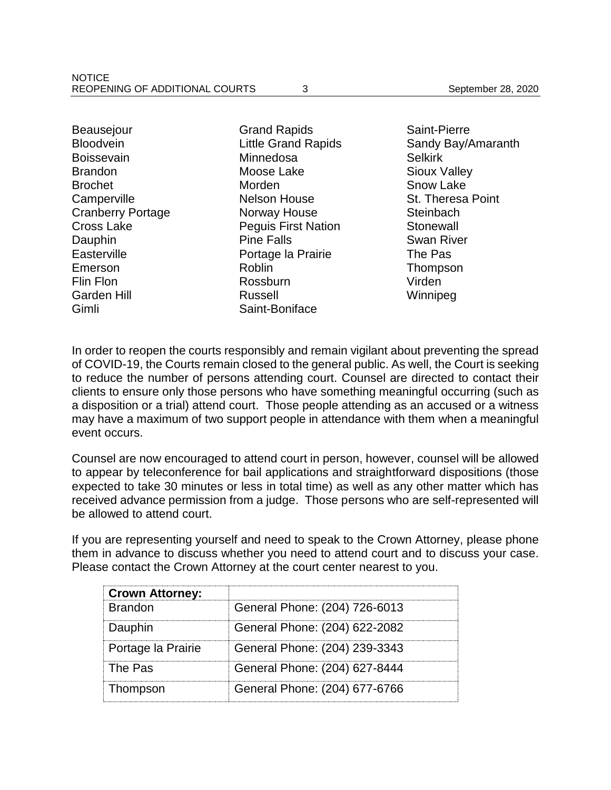**Beausejour Bloodvein** Boissevain **Brandon** Brochet **Camperville** Cranberry Portage Cross Lake Dauphin **Easterville** Emerson Flin Flon Garden Hill Gimli

Grand Rapids Little Grand Rapids **Minnedosa** Moose Lake Morden Nelson House Norway House Peguis First Nation Pine Falls Portage la Prairie Roblin Rossburn Russell Saint-Boniface

Saint-Pierre Sandy Bay/Amaranth Selkirk Sioux Valley Snow Lake St. Theresa Point **Steinbach Stonewall** Swan River The Pas Thompson Virden Winnipeg

In order to reopen the courts responsibly and remain vigilant about preventing the spread of COVID-19, the Courts remain closed to the general public. As well, the Court is seeking to reduce the number of persons attending court. Counsel are directed to contact their clients to ensure only those persons who have something meaningful occurring (such as a disposition or a trial) attend court. Those people attending as an accused or a witness may have a maximum of two support people in attendance with them when a meaningful event occurs.

Counsel are now encouraged to attend court in person, however, counsel will be allowed to appear by teleconference for bail applications and straightforward dispositions (those expected to take 30 minutes or less in total time) as well as any other matter which has received advance permission from a judge. Those persons who are self-represented will be allowed to attend court.

If you are representing yourself and need to speak to the Crown Attorney, please phone them in advance to discuss whether you need to attend court and to discuss your case. Please contact the Crown Attorney at the court center nearest to you.

| <b>Crown Attorney:</b> |                               |
|------------------------|-------------------------------|
| <b>Brandon</b>         | General Phone: (204) 726-6013 |
| Dauphin                | General Phone: (204) 622-2082 |
| Portage la Prairie     | General Phone: (204) 239-3343 |
| The Pas                | General Phone: (204) 627-8444 |
| Thompson               | General Phone: (204) 677-6766 |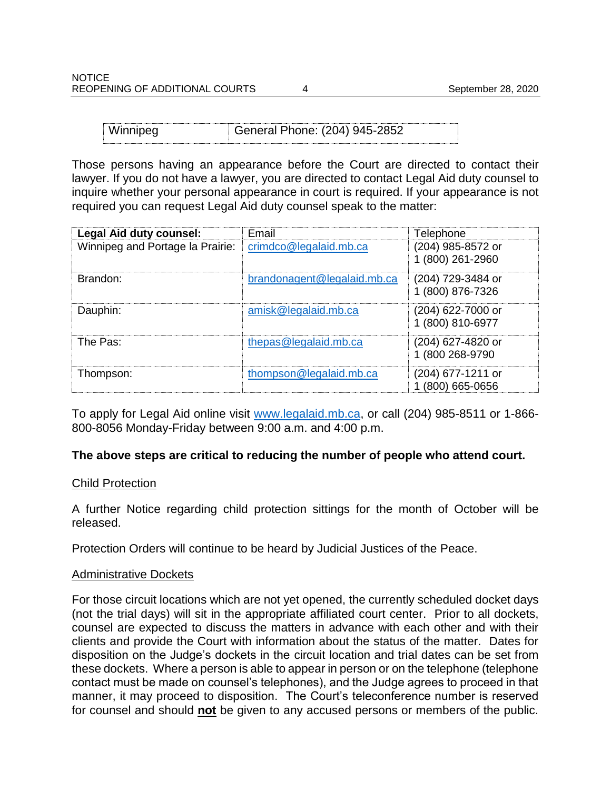| Winnipeg<br>General Phone: (204) 945-2852 |  |
|-------------------------------------------|--|
|-------------------------------------------|--|

Those persons having an appearance before the Court are directed to contact their lawyer. If you do not have a lawyer, you are directed to contact Legal Aid duty counsel to inquire whether your personal appearance in court is required. If your appearance is not required you can request Legal Aid duty counsel speak to the matter:

| <b>Legal Aid duty counsel:</b>   | Email                       | Telephone                             |
|----------------------------------|-----------------------------|---------------------------------------|
| Winnipeg and Portage la Prairie: | crimdco@legalaid.mb.ca      | (204) 985-8572 or<br>1 (800) 261-2960 |
| Brandon:                         | brandonagent@legalaid.mb.ca | (204) 729-3484 or<br>1 (800) 876-7326 |
| Dauphin:                         | amisk@legalaid.mb.ca        | (204) 622-7000 or<br>1 (800) 810-6977 |
| The Pas:                         | thepas@legalaid.mb.ca       | (204) 627-4820 or<br>1 (800 268-9790  |
| Thompson:                        | thompson@legalaid.mb.ca     | (204) 677-1211 or<br>(800) 665-0656   |

To apply for Legal Aid online visit [www.legalaid.mb.ca,](http://www.legalaid.mb.ca/) or call (204) 985-8511 or 1-866- 800-8056 Monday-Friday between 9:00 a.m. and 4:00 p.m.

## **The above steps are critical to reducing the number of people who attend court.**

#### Child Protection

A further Notice regarding child protection sittings for the month of October will be released.

Protection Orders will continue to be heard by Judicial Justices of the Peace.

#### Administrative Dockets

For those circuit locations which are not yet opened, the currently scheduled docket days (not the trial days) will sit in the appropriate affiliated court center. Prior to all dockets, counsel are expected to discuss the matters in advance with each other and with their clients and provide the Court with information about the status of the matter. Dates for disposition on the Judge's dockets in the circuit location and trial dates can be set from these dockets. Where a person is able to appear in person or on the telephone (telephone contact must be made on counsel's telephones), and the Judge agrees to proceed in that manner, it may proceed to disposition. The Court's teleconference number is reserved for counsel and should **not** be given to any accused persons or members of the public.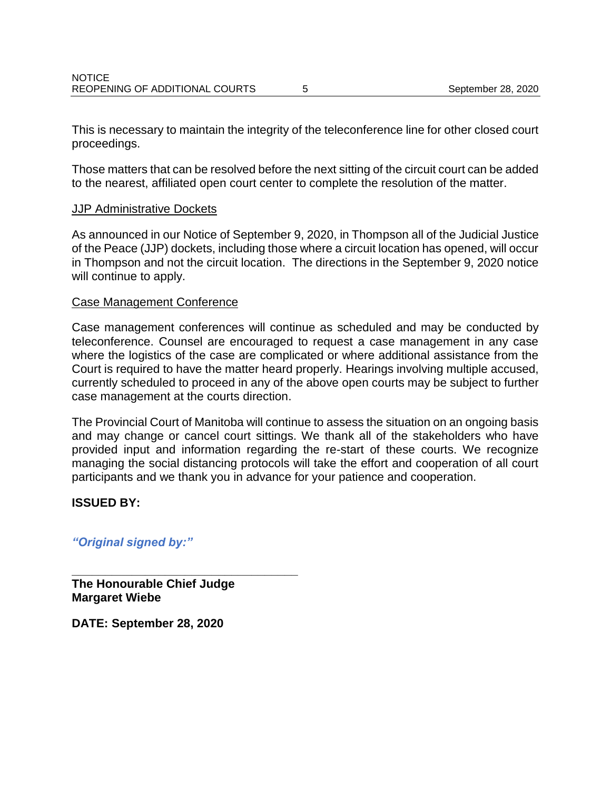This is necessary to maintain the integrity of the teleconference line for other closed court proceedings.

Those matters that can be resolved before the next sitting of the circuit court can be added to the nearest, affiliated open court center to complete the resolution of the matter.

## JJP Administrative Dockets

As announced in our Notice of September 9, 2020, in Thompson all of the Judicial Justice of the Peace (JJP) dockets, including those where a circuit location has opened, will occur in Thompson and not the circuit location. The directions in the September 9, 2020 notice will continue to apply.

#### Case Management Conference

Case management conferences will continue as scheduled and may be conducted by teleconference. Counsel are encouraged to request a case management in any case where the logistics of the case are complicated or where additional assistance from the Court is required to have the matter heard properly. Hearings involving multiple accused, currently scheduled to proceed in any of the above open courts may be subject to further case management at the courts direction.

The Provincial Court of Manitoba will continue to assess the situation on an ongoing basis and may change or cancel court sittings. We thank all of the stakeholders who have provided input and information regarding the re-start of these courts. We recognize managing the social distancing protocols will take the effort and cooperation of all court participants and we thank you in advance for your patience and cooperation.

## **ISSUED BY:**

## *"Original signed by:"*

**The Honourable Chief Judge Margaret Wiebe**

**\_\_\_\_\_\_\_\_\_\_\_\_\_\_\_\_\_\_\_\_\_\_\_\_\_\_\_\_\_\_\_\_\_\_**

**DATE: September 28, 2020**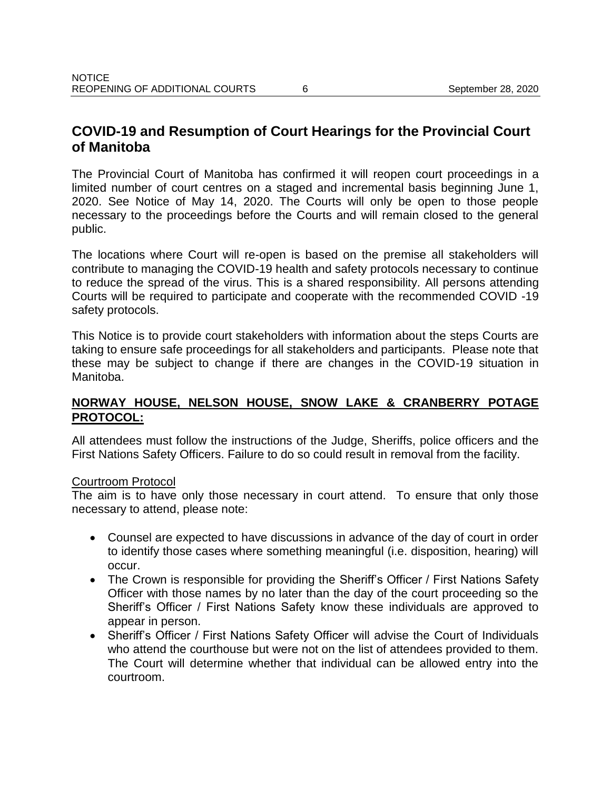# **COVID-19 and Resumption of Court Hearings for the Provincial Court of Manitoba**

The Provincial Court of Manitoba has confirmed it will reopen court proceedings in a limited number of court centres on a staged and incremental basis beginning June 1, 2020. See Notice of May 14, 2020. The Courts will only be open to those people necessary to the proceedings before the Courts and will remain closed to the general public.

The locations where Court will re-open is based on the premise all stakeholders will contribute to managing the COVID-19 health and safety protocols necessary to continue to reduce the spread of the virus. This is a shared responsibility. All persons attending Courts will be required to participate and cooperate with the recommended COVID -19 safety protocols.

This Notice is to provide court stakeholders with information about the steps Courts are taking to ensure safe proceedings for all stakeholders and participants. Please note that these may be subject to change if there are changes in the COVID-19 situation in Manitoba.

# **NORWAY HOUSE, NELSON HOUSE, SNOW LAKE & CRANBERRY POTAGE PROTOCOL:**

All attendees must follow the instructions of the Judge, Sheriffs, police officers and the First Nations Safety Officers. Failure to do so could result in removal from the facility.

## Courtroom Protocol

The aim is to have only those necessary in court attend. To ensure that only those necessary to attend, please note:

- Counsel are expected to have discussions in advance of the day of court in order to identify those cases where something meaningful (i.e. disposition, hearing) will occur.
- The Crown is responsible for providing the Sheriff's Officer / First Nations Safety Officer with those names by no later than the day of the court proceeding so the Sheriff's Officer / First Nations Safety know these individuals are approved to appear in person.
- Sheriff's Officer / First Nations Safety Officer will advise the Court of Individuals who attend the courthouse but were not on the list of attendees provided to them. The Court will determine whether that individual can be allowed entry into the courtroom.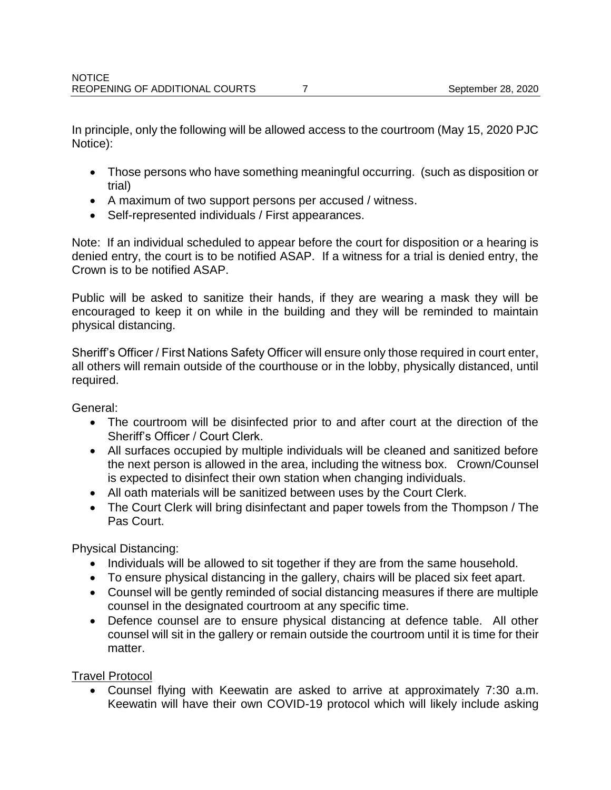In principle, only the following will be allowed access to the courtroom (May 15, 2020 PJC Notice):

- Those persons who have something meaningful occurring. (such as disposition or trial)
- A maximum of two support persons per accused / witness.
- Self-represented individuals / First appearances.

Note: If an individual scheduled to appear before the court for disposition or a hearing is denied entry, the court is to be notified ASAP. If a witness for a trial is denied entry, the Crown is to be notified ASAP.

Public will be asked to sanitize their hands, if they are wearing a mask they will be encouraged to keep it on while in the building and they will be reminded to maintain physical distancing.

Sheriff's Officer / First Nations Safety Officer will ensure only those required in court enter, all others will remain outside of the courthouse or in the lobby, physically distanced, until required.

General:

- The courtroom will be disinfected prior to and after court at the direction of the Sheriff's Officer / Court Clerk.
- All surfaces occupied by multiple individuals will be cleaned and sanitized before the next person is allowed in the area, including the witness box. Crown/Counsel is expected to disinfect their own station when changing individuals.
- All oath materials will be sanitized between uses by the Court Clerk.
- The Court Clerk will bring disinfectant and paper towels from the Thompson / The Pas Court.

Physical Distancing:

- Individuals will be allowed to sit together if they are from the same household.
- To ensure physical distancing in the gallery, chairs will be placed six feet apart.
- Counsel will be gently reminded of social distancing measures if there are multiple counsel in the designated courtroom at any specific time.
- Defence counsel are to ensure physical distancing at defence table. All other counsel will sit in the gallery or remain outside the courtroom until it is time for their matter.

Travel Protocol

 Counsel flying with Keewatin are asked to arrive at approximately 7:30 a.m. Keewatin will have their own COVID-19 protocol which will likely include asking